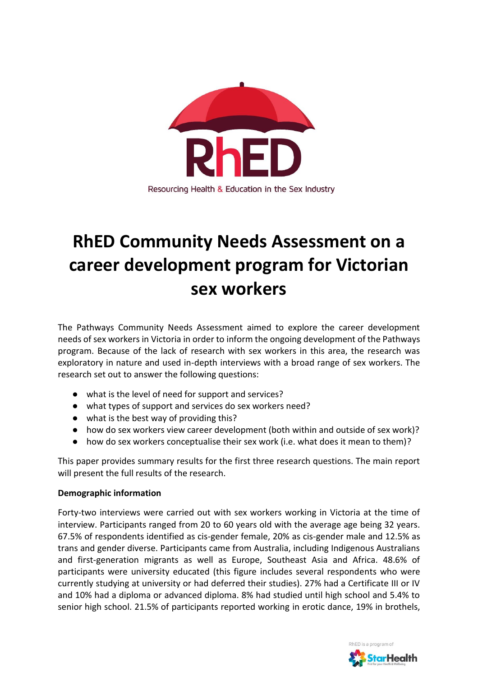

# **RhED Community Needs Assessment on a career development program for Victorian sex workers**

The Pathways Community Needs Assessment aimed to explore the career development needs of sex workers in Victoria in order to inform the ongoing development of the Pathways program. Because of the lack of research with sex workers in this area, the research was exploratory in nature and used in-depth interviews with a broad range of sex workers. The research set out to answer the following questions:

- what is the level of need for support and services?
- what types of support and services do sex workers need?
- what is the best way of providing this?
- how do sex workers view career development (both within and outside of sex work)?
- how do sex workers conceptualise their sex work (i.e. what does it mean to them)?

This paper provides summary results for the first three research questions. The main report will present the full results of the research.

## **Demographic information**

Forty-two interviews were carried out with sex workers working in Victoria at the time of interview. Participants ranged from 20 to 60 years old with the average age being 32 years. 67.5% of respondents identified as cis-gender female, 20% as cis-gender male and 12.5% as trans and gender diverse. Participants came from Australia, including Indigenous Australians and first-generation migrants as well as Europe, Southeast Asia and Africa. 48.6% of participants were university educated (this figure includes several respondents who were currently studying at university or had deferred their studies). 27% had a Certificate III or IV and 10% had a diploma or advanced diploma. 8% had studied until high school and 5.4% to senior high school. 21.5% of participants reported working in erotic dance, 19% in brothels,

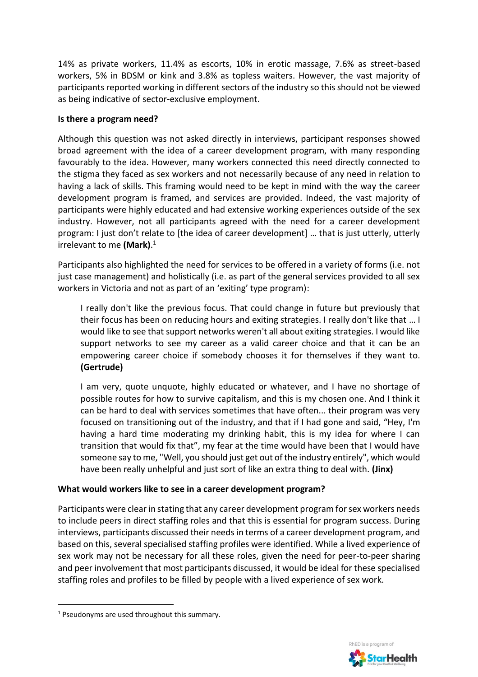14% as private workers, 11.4% as escorts, 10% in erotic massage, 7.6% as street-based workers, 5% in BDSM or kink and 3.8% as topless waiters. However, the vast majority of participants reported working in different sectors of the industry so this should not be viewed as being indicative of sector-exclusive employment.

## **Is there a program need?**

Although this question was not asked directly in interviews, participant responses showed broad agreement with the idea of a career development program, with many responding favourably to the idea. However, many workers connected this need directly connected to the stigma they faced as sex workers and not necessarily because of any need in relation to having a lack of skills. This framing would need to be kept in mind with the way the career development program is framed, and services are provided. Indeed, the vast majority of participants were highly educated and had extensive working experiences outside of the sex industry. However, not all participants agreed with the need for a career development program: I just don't relate to [the idea of career development] … that is just utterly, utterly irrelevant to me **(Mark)**. 1

Participants also highlighted the need for services to be offered in a variety of forms (i.e. not just case management) and holistically (i.e. as part of the general services provided to all sex workers in Victoria and not as part of an 'exiting' type program):

I really don't like the previous focus. That could change in future but previously that their focus has been on reducing hours and exiting strategies. I really don't like that … I would like to see that support networks weren't all about exiting strategies. I would like support networks to see my career as a valid career choice and that it can be an empowering career choice if somebody chooses it for themselves if they want to. **(Gertrude)**

I am very, quote unquote, highly educated or whatever, and I have no shortage of possible routes for how to survive capitalism, and this is my chosen one. And I think it can be hard to deal with services sometimes that have often... their program was very focused on transitioning out of the industry, and that if I had gone and said, "Hey, I'm having a hard time moderating my drinking habit, this is my idea for where I can transition that would fix that", my fear at the time would have been that I would have someone say to me, "Well, you should just get out of the industry entirely", which would have been really unhelpful and just sort of like an extra thing to deal with. **(Jinx)**

## **What would workers like to see in a career development program?**

Participants were clear in stating that any career development program for sex workers needs to include peers in direct staffing roles and that this is essential for program success. During interviews, participants discussed their needs in terms of a career development program, and based on this, several specialised staffing profiles were identified. While a lived experience of sex work may not be necessary for all these roles, given the need for peer-to-peer sharing and peer involvement that most participants discussed, it would be ideal for these specialised staffing roles and profiles to be filled by people with a lived experience of sex work.

 $\overline{a}$ 



<sup>&</sup>lt;sup>1</sup> Pseudonyms are used throughout this summary.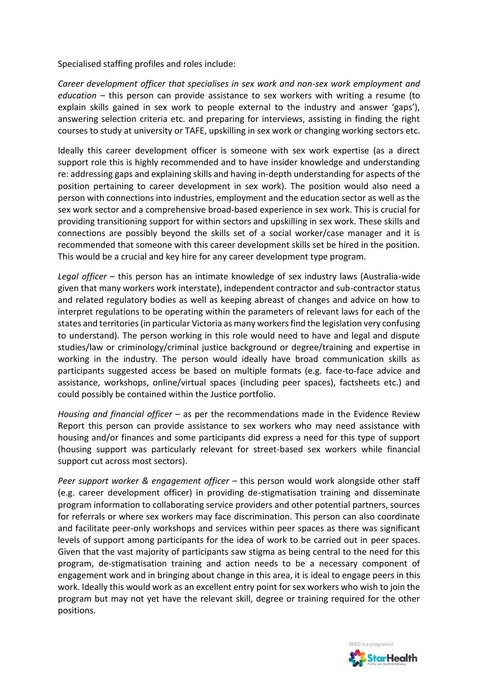Specialised staffing profiles and roles include:

*Career development officer that specialises in sex work and non-sex work employment and education* – this person can provide assistance to sex workers with writing a resume (to explain skills gained in sex work to people external to the industry and answer 'gaps'), answering selection criteria etc. and preparing for interviews, assisting in finding the right courses to study at university or TAFE, upskilling in sex work or changing working sectors etc.

Ideally this career development officer is someone with sex work expertise (as a direct support role this is highly recommended and to have insider knowledge and understanding re: addressing gaps and explaining skills and having in-depth understanding for aspects of the position pertaining to career development in sex work). The position would also need a person with connections into industries, employment and the education sector as well as the sex work sector and a comprehensive broad-based experience in sex work. This is crucial for providing transitioning support for within sectors and upskilling in sex work. These skills and connections are possibly beyond the skills set of a social worker/case manager and it is recommended that someone with this career development skills set be hired in the position. This would be a crucial and key hire for any career development type program.

*Legal officer* – this person has an intimate knowledge of sex industry laws (Australia-wide given that many workers work interstate), independent contractor and sub-contractor status and related regulatory bodies as well as keeping abreast of changes and advice on how to interpret regulations to be operating within the parameters of relevant laws for each of the states and territories (in particular Victoria as many workers find the legislation very confusing to understand). The person working in this role would need to have and legal and dispute studies/law or criminology/criminal justice background or degree/training and expertise in working in the industry. The person would ideally have broad communication skills as participants suggested access be based on multiple formats (e.g. face-to-face advice and assistance, workshops, online/virtual spaces (including peer spaces), factsheets etc.) and could possibly be contained within the Justice portfolio.

*Housing and financial officer* – as per the recommendations made in the Evidence Review Report this person can provide assistance to sex workers who may need assistance with housing and/or finances and some participants did express a need for this type of support (housing support was particularly relevant for street-based sex workers while financial support cut across most sectors).

*Peer support worker & engagement officer – this person would work alongside other staff* (e.g. career development officer) in providing de-stigmatisation training and disseminate program information to collaborating service providers and other potential partners, sources for referrals or where sex workers may face discrimination. This person can also coordinate and facilitate peer-only workshops and services within peer spaces as there was significant levels of support among participants for the idea of work to be carried out in peer spaces. Given that the vast majority of participants saw stigma as being central to the need for this program, de-stigmatisation training and action needs to be a necessary component of engagement work and in bringing about change in this area, it is ideal to engage peers in this work. Ideally this would work as an excellent entry point for sex workers who wish to join the program but may not yet have the relevant skill, degree or training required for the other positions.

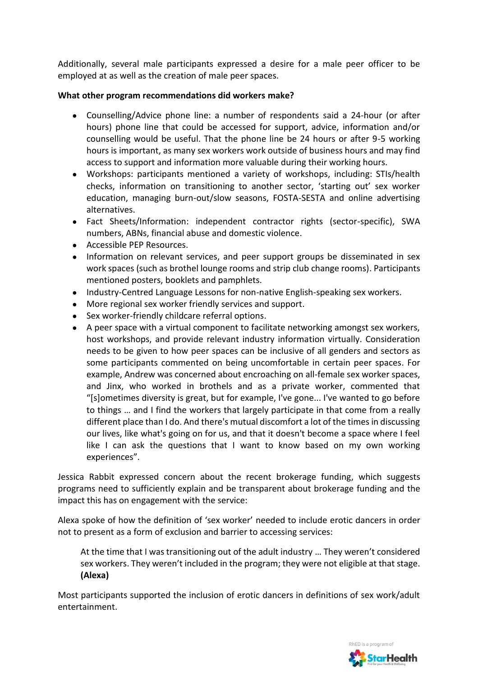Additionally, several male participants expressed a desire for a male peer officer to be employed at as well as the creation of male peer spaces.

## **What other program recommendations did workers make?**

- Counselling/Advice phone line: a number of respondents said a 24-hour (or after hours) phone line that could be accessed for support, advice, information and/or counselling would be useful. That the phone line be 24 hours or after 9-5 working hours is important, as many sex workers work outside of business hours and may find access to support and information more valuable during their working hours.
- Workshops: participants mentioned a variety of workshops, including: STIs/health checks, information on transitioning to another sector, 'starting out' sex worker education, managing burn-out/slow seasons, FOSTA-SESTA and online advertising alternatives.
- Fact Sheets/Information: independent contractor rights (sector-specific), SWA numbers, ABNs, financial abuse and domestic violence.
- Accessible PEP Resources.
- Information on relevant services, and peer support groups be disseminated in sex work spaces (such as brothel lounge rooms and strip club change rooms). Participants mentioned posters, booklets and pamphlets.
- Industry-Centred Language Lessons for non-native English-speaking sex workers.
- More regional sex worker friendly services and support.
- Sex worker-friendly childcare referral options.
- A peer space with a virtual component to facilitate networking amongst sex workers, host workshops, and provide relevant industry information virtually. Consideration needs to be given to how peer spaces can be inclusive of all genders and sectors as some participants commented on being uncomfortable in certain peer spaces. For example, Andrew was concerned about encroaching on all-female sex worker spaces, and Jinx, who worked in brothels and as a private worker, commented that "[s]ometimes diversity is great, but for example, I've gone... I've wanted to go before to things … and I find the workers that largely participate in that come from a really different place than I do. And there's mutual discomfort a lot of the times in discussing our lives, like what's going on for us, and that it doesn't become a space where I feel like I can ask the questions that I want to know based on my own working experiences".

Jessica Rabbit expressed concern about the recent brokerage funding, which suggests programs need to sufficiently explain and be transparent about brokerage funding and the impact this has on engagement with the service:

Alexa spoke of how the definition of 'sex worker' needed to include erotic dancers in order not to present as a form of exclusion and barrier to accessing services:

At the time that I was transitioning out of the adult industry … They weren't considered sex workers. They weren't included in the program; they were not eligible at that stage. **(Alexa)**

Most participants supported the inclusion of erotic dancers in definitions of sex work/adult entertainment.